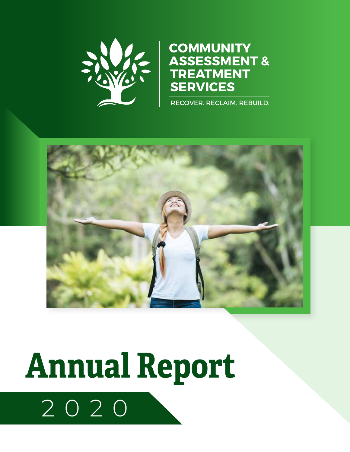

#### **COMMUNITY ASSESSMENT & TREATMENT SERVICES**

RECOVER. RECLAIM. REBUILD.



# 2020 **Annual Report**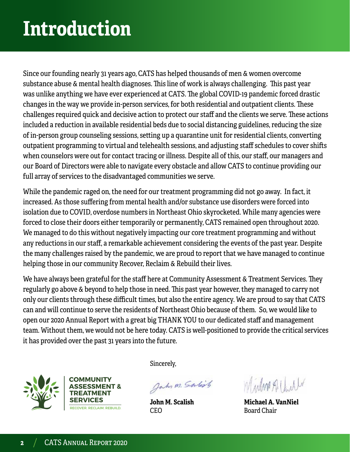# **Introduction**

Since our founding nearly 31 years ago, CATS has helped thousands of men & women overcome substance abuse & mental health diagnoses. This line of work is always challenging. This past year was unlike anything we have ever experienced at CATS. The global COVID-19 pandemic forced drastic changes in the way we provide in-person services, for both residential and outpatient clients. These challenges required quick and decisive action to protect our staff and the clients we serve. These actions included a reduction in available residential beds due to social distancing guidelines, reducing the size of in-person group counseling sessions, setting up a quarantine unit for residential clients, converting outpatient programming to virtual and telehealth sessions, and adjusting staff schedules to cover shifts when counselors were out for contact tracing or illness. Despite all of this, our staff, our managers and our Board of Directors were able to navigate every obstacle and allow CATS to continue providing our full array of services to the disadvantaged communities we serve.

While the pandemic raged on, the need for our treatment programming did not go away. In fact, it increased. As those suffering from mental health and/or substance use disorders were forced into isolation due to COVID, overdose numbers in Northeast Ohio skyrocketed. While many agencies were forced to close their doors either temporarily or permanently, CATS remained open throughout 2020. We managed to do this without negatively impacting our core treatment programming and without any reductions in our staff, a remarkable achievement considering the events of the past year. Despite the many challenges raised by the pandemic, we are proud to report that we have managed to continue helping those in our community Recover, Reclaim & Rebuild their lives.

We have always been grateful for the staff here at Community Assessment & Treatment Services. They regularly go above & beyond to help those in need. This past year however, they managed to carry not only our clients through these difficult times, but also the entire agency. We are proud to say that CATS can and will continue to serve the residents of Northeast Ohio because of them. So, we would like to open our 2020 Annual Report with a great big THANK YOU to our dedicated staff and management team. Without them, we would not be here today. CATS is well-positioned to provide the critical services it has provided over the past 31 years into the future.





Sincerely,

Jahr M. Salish

**John M. Scalish**  CEO

Mindon Albert

**Michael A. VanNiel** Board Chair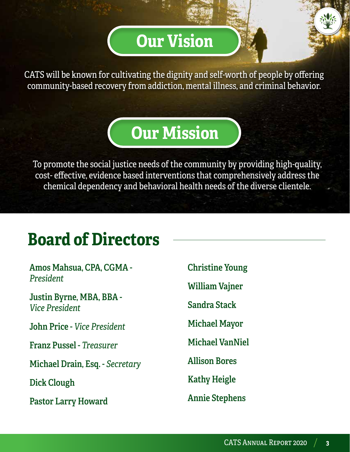#### **Our Vision**

CATS will be known for cultivating the dignity and self-worth of people by offering community-based recovery from addiction, mental illness, and criminal behavior.

#### **Our Mission**

To promote the social justice needs of the community by providing high-quality, cost- effective, evidence based interventions that comprehensively address the chemical dependency and behavioral health needs of the diverse clientele.

#### **Board of Directors**

**Amos Mahsua, CPA, CGMA -**  *President*

**Justin Byrne, MBA, BBA -**  *Vice President* 

**John Price -** *Vice President*

**Franz Pussel -** *Treasurer*

**Michael Drain, Esq. -** *Secretary*

**Dick Clough** 

**Pastor Larry Howard**

**Christine Young** 

**William Vajner** 

**Sandra Stack**

**Michael Mayor**

**Michael VanNiel** 

**Allison Bores** 

**Kathy Heigle**

**Annie Stephens**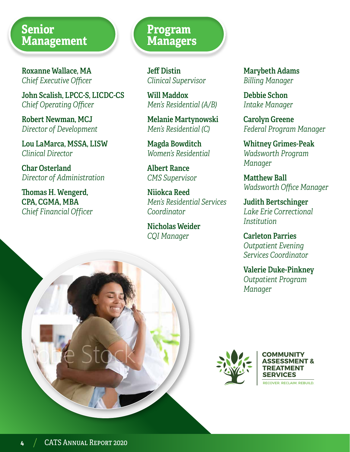#### **Senior Management**

**Roxanne Wallace, MA** *Chief Executive Officer*

**John Scalish, LPCC-S, LICDC-CS**  *Chief Operating Officer*

**Robert Newman, MCJ** *Director of Development*

**Lou LaMarca, MSSA, LISW** *Clinical Director*

**Char Osterland** *Director of Administration*

**Thomas H. Wengerd, CPA, CGMA, MBA** *Chief Financial Officer*

#### **Program Managers**

**Jeff Distin** *Clinical Supervisor*

**Will Maddox** *Men's Residential (A/B)* 

**Melanie Martynowski** *Men's Residential (C)*

**Magda Bowditch** *Women's Residential*

**Albert Rance** *CMS Supervisor*

**Niiokca Reed** *Men's Residential Services Coordinator*

**Nicholas Weider** *CQI Manager* 

**Marybeth Adams** *Billing Manager*

**Debbie Schon** *Intake Manager*

**Carolyn Greene** *Federal Program Manager*

**Whitney Grimes-Peak** *Wadsworth Program Manager*

**Matthew Ball** *Wadsworth Office Manager* 

**Judith Bertschinger** *Lake Erie Correctional Institution* 

**Carleton Parries** *Outpatient Evening Services Coordinator*

**Valerie Duke-Pinkney** *Outpatient Program Manager*



**COMMUNITY ASSESSMENT & TREATMENT SERVICES**

RECOVER. RECLAIM. REBUILD.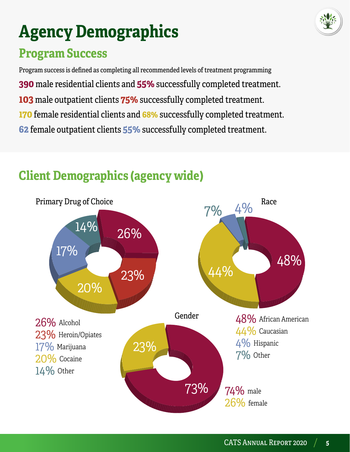

# **Agency Demographics**

#### **Program Success**

Program success is defined as completing all recommended levels of treatment programming

- **390** male residential clients and **55%** successfully completed treatment.
- **103** male outpatient clients **75%** successfully completed treatment.
- **170** female residential clients and **68%** successfully completed treatment.
- **62** female outpatient clients **55%** successfully completed treatment.



#### **Client Demographics (agency wide)**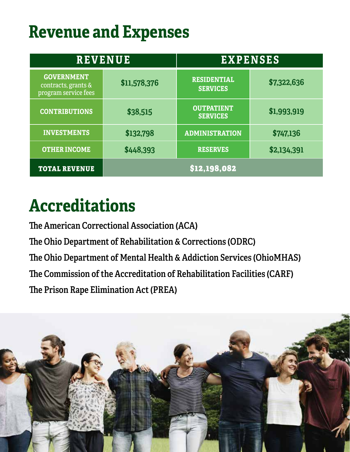### **Revenue and Expenses**

| <b>REVENUE</b>                                                   |              | <b>EXPENSES</b>                       |             |
|------------------------------------------------------------------|--------------|---------------------------------------|-------------|
| <b>GOVERNMENT</b><br>contracts, grants &<br>program service fees | \$11,578,376 | <b>RESIDENTIAL</b><br><b>SERVICES</b> | \$7,322,636 |
| <b>CONTRIBUTIONS</b>                                             | \$38,515     | <b>OUTPATIENT</b><br><b>SERVICES</b>  | \$1,993,919 |
| <b>INVESTMENTS</b>                                               | \$132,798    | <b>ADMINISTRATION</b>                 | \$747,136   |
| <b>OTHER INCOME</b>                                              | \$448,393    | <b>RESERVES</b>                       | \$2,134,391 |
| <b>TOTAL REVENUE</b>                                             | \$12,198,082 |                                       |             |

#### **Accreditations**

**The American Correctional Association (ACA) The Ohio Department of Rehabilitation & Corrections (ODRC) The Ohio Department of Mental Health & Addiction Services (OhioMHAS) The Commission of the Accreditation of Rehabilitation Facilities (CARF) The Prison Rape Elimination Act (PREA)**

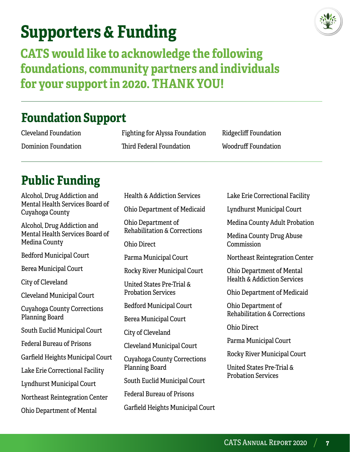### **Supporters & Funding**



**CATS would like to acknowledge the following foundations, community partners and individuals for your support in 2020. THANK YOU!**

#### **Foundation Support**

Cleveland Foundation Dominion Foundation Fighting for Alyssa Foundation Third Federal Foundation

Health & Addiction Services

Ridgecliff Foundation Woodruff Foundation

#### **Public Funding**

Alcohol, Drug Addiction and Mental Health Services Board of Cuyahoga County Alcohol, Drug Addiction and Mental Health Services Board of Medina County Bedford Municipal Court Berea Municipal Court City of Cleveland Cleveland Municipal Court Cuyahoga County Corrections Planning Board South Euclid Municipal Court Federal Bureau of Prisons Garfield Heights Municipal Court Lake Erie Correctional Facility Lyndhurst Municipal Court Northeast Reintegration Center Ohio Department of Mental

Ohio Department of Medicaid Ohio Department of Rehabilitation & Corrections Ohio Direct Parma Municipal Court Rocky River Municipal Court United States Pre-Trial & Probation Services Bedford Municipal Court Berea Municipal Court City of Cleveland Cleveland Municipal Court Cuyahoga County Corrections Planning Board South Euclid Municipal Court Federal Bureau of Prisons

Garfield Heights Municipal Court

Lake Erie Correctional Facility

Lyndhurst Municipal Court

Medina County Adult Probation

Medina County Drug Abuse Commission

Northeast Reintegration Center

Ohio Department of Mental Health & Addiction Services

Ohio Department of Medicaid

Ohio Department of Rehabilitation & Corrections

Ohio Direct

Parma Municipal Court

Rocky River Municipal Court

United States Pre-Trial & Probation Services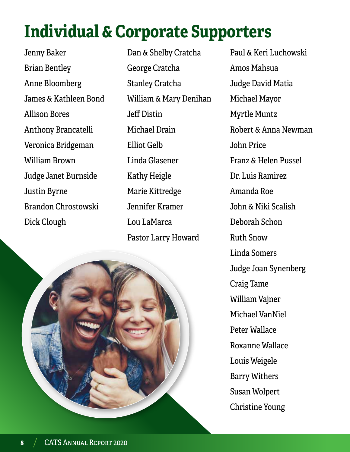# **Individual & Corporate Supporters**

Jenny Baker Brian Bentley Anne Bloomberg James & Kathleen Bond Allison Bores Anthony Brancatelli Veronica Bridgeman William Brown Judge Janet Burnside Justin Byrne Brandon Chrostowski Dick Clough

Dan & Shelby Cratcha George Cratcha Stanley Cratcha William & Mary Denihan Jeff Distin Michael Drain Elliot Gelb Linda Glasener Kathy Heigle Marie Kittredge Jennifer Kramer Lou LaMarca Pastor Larry Howard



Paul & Keri Luchowski Amos Mahsua Judge David Matia Michael Mayor Myrtle Muntz Robert & Anna Newman John Price Franz & Helen Pussel Dr. Luis Ramirez Amanda Roe John & Niki Scalish Deborah Schon Ruth Snow Linda Somers Judge Joan Synenberg Craig Tame William Vajner Michael VanNiel Peter Wallace Roxanne Wallace Louis Weigele Barry Withers Susan Wolpert Christine Young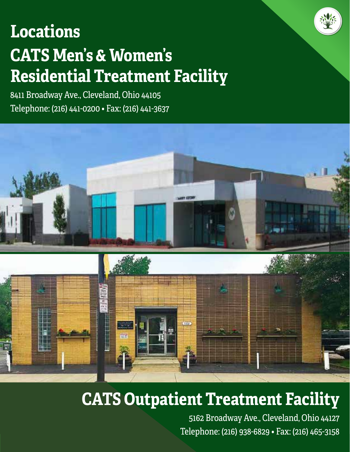# **CATS Men's & Women's Residential Treatment Facility Locations**

8411 Broadway Ave., Cleveland, Ohio 44105 Telephone: (216) 441-0200 • Fax: (216) 441-3637



#### **CATS Outpatient Treatment Facility**

5162 Broadway Ave., Cleveland, Ohio 44127 Telephone: (216) 938-6829 • Fax: (216) 465-3158